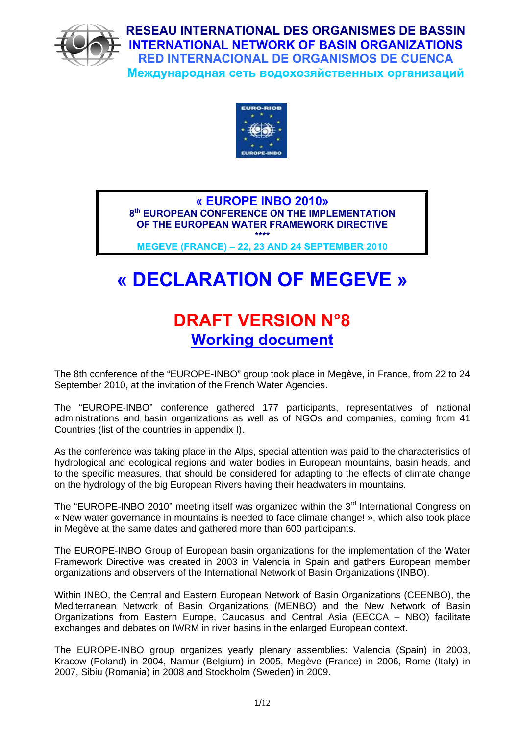

**RESEAU INTERNATIONAL DES ORGANISMES DE BASSIN INTERNATIONAL NETWORK OF BASIN ORGANIZATIONS RED INTERNACIONAL DE ORGANISMOS DE CUENCA Международная сеть водохозяйственных организаций**



**« EUROPE INBO 2010» 8th EUROPEAN CONFERENCE ON THE IMPLEMENTATION OF THE EUROPEAN WATER FRAMEWORK DIRECTIVE \*\*\*\*** 

**MEGEVE (FRANCE) – 22, 23 AND 24 SEPTEMBER 2010** 

# **« DECLARATION OF MEGEVE »**

# **DRAFT VERSION N°8 Working document**

The 8th conference of the "EUROPE-INBO" group took place in Megève, in France, from 22 to 24 September 2010, at the invitation of the French Water Agencies.

The "EUROPE-INBO" conference gathered 177 participants, representatives of national administrations and basin organizations as well as of NGOs and companies, coming from 41 Countries (list of the countries in appendix I).

As the conference was taking place in the Alps, special attention was paid to the characteristics of hydrological and ecological regions and water bodies in European mountains, basin heads, and to the specific measures, that should be considered for adapting to the effects of climate change on the hydrology of the big European Rivers having their headwaters in mountains.

The "EUROPE-INBO 2010" meeting itself was organized within the  $3<sup>rd</sup>$  International Congress on « New water governance in mountains is needed to face climate change! », which also took place in Megève at the same dates and gathered more than 600 participants.

The EUROPE-INBO Group of European basin organizations for the implementation of the Water Framework Directive was created in 2003 in Valencia in Spain and gathers European member organizations and observers of the International Network of Basin Organizations (INBO).

Within INBO, the Central and Eastern European Network of Basin Organizations (CEENBO), the Mediterranean Network of Basin Organizations (MENBO) and the New Network of Basin Organizations from Eastern Europe, Caucasus and Central Asia (EECCA – NBO) facilitate exchanges and debates on IWRM in river basins in the enlarged European context.

The EUROPE-INBO group organizes yearly plenary assemblies: Valencia (Spain) in 2003, Kracow (Poland) in 2004, Namur (Belgium) in 2005, Megève (France) in 2006, Rome (Italy) in 2007, Sibiu (Romania) in 2008 and Stockholm (Sweden) in 2009.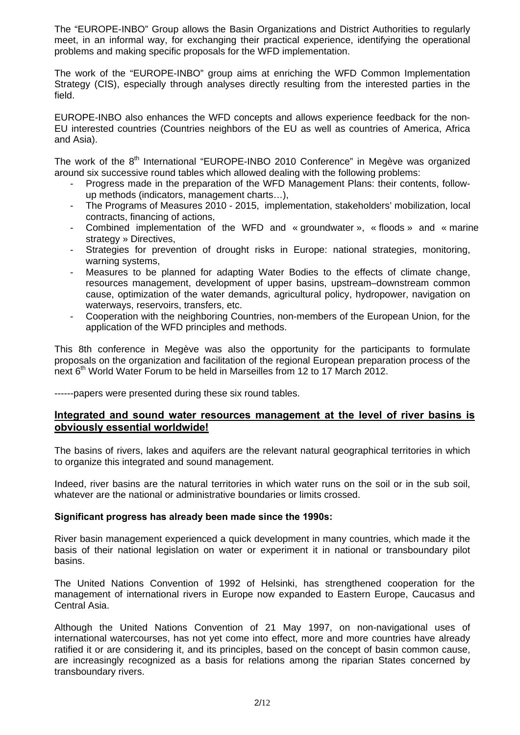The "EUROPE-INBO" Group allows the Basin Organizations and District Authorities to regularly meet, in an informal way, for exchanging their practical experience, identifying the operational problems and making specific proposals for the WFD implementation.

The work of the "EUROPE-INBO" group aims at enriching the WFD Common Implementation Strategy (CIS), especially through analyses directly resulting from the interested parties in the field.

EUROPE-INBO also enhances the WFD concepts and allows experience feedback for the non-EU interested countries (Countries neighbors of the EU as well as countries of America, Africa and Asia).

The work of the 8<sup>th</sup> International "EUROPE-INBO 2010 Conference" in Megève was organized around six successive round tables which allowed dealing with the following problems:

- Progress made in the preparation of the WFD Management Plans: their contents, followup methods (indicators, management charts…),
- The Programs of Measures 2010 2015, implementation, stakeholders' mobilization, local contracts, financing of actions,
- Combined implementation of the WFD and « groundwater », « floods » and « marine strategy » Directives,
- Strategies for prevention of drought risks in Europe: national strategies, monitoring, warning systems,
- Measures to be planned for adapting Water Bodies to the effects of climate change, resources management, development of upper basins, upstream–downstream common cause, optimization of the water demands, agricultural policy, hydropower, navigation on waterways, reservoirs, transfers, etc.
- Cooperation with the neighboring Countries, non-members of the European Union, for the application of the WFD principles and methods.

This 8th conference in Megève was also the opportunity for the participants to formulate proposals on the organization and facilitation of the regional European preparation process of the next 6<sup>th</sup> World Water Forum to be held in Marseilles from 12 to 17 March 2012.

------papers were presented during these six round tables.

#### **Integrated and sound water resources management at the level of river basins is obviously essential worldwide!**

The basins of rivers, lakes and aquifers are the relevant natural geographical territories in which to organize this integrated and sound management.

Indeed, river basins are the natural territories in which water runs on the soil or in the sub soil, whatever are the national or administrative boundaries or limits crossed.

#### **Significant progress has already been made since the 1990s:**

River basin management experienced a quick development in many countries, which made it the basis of their national legislation on water or experiment it in national or transboundary pilot basins.

The United Nations Convention of 1992 of Helsinki, has strengthened cooperation for the management of international rivers in Europe now expanded to Eastern Europe, Caucasus and Central Asia.

Although the United Nations Convention of 21 May 1997, on non-navigational uses of international watercourses, has not yet come into effect, more and more countries have already ratified it or are considering it, and its principles, based on the concept of basin common cause, are increasingly recognized as a basis for relations among the riparian States concerned by transboundary rivers.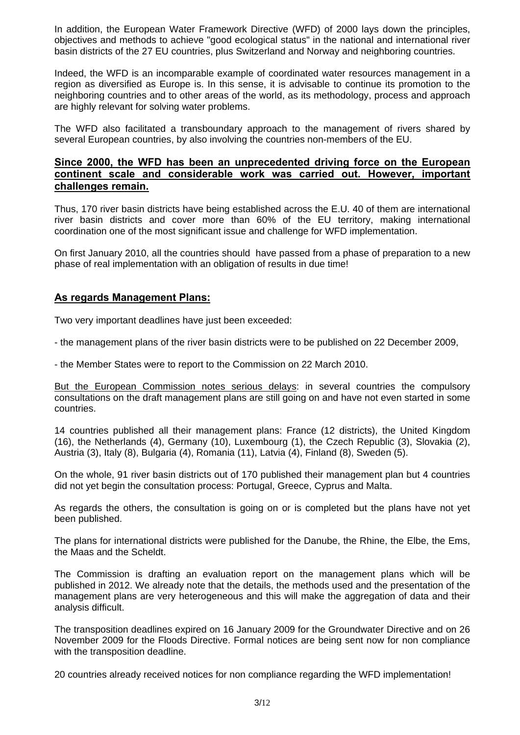In addition, the European Water Framework Directive (WFD) of 2000 lays down the principles, objectives and methods to achieve "good ecological status" in the national and international river basin districts of the 27 EU countries, plus Switzerland and Norway and neighboring countries.

Indeed, the WFD is an incomparable example of coordinated water resources management in a region as diversified as Europe is. In this sense, it is advisable to continue its promotion to the neighboring countries and to other areas of the world, as its methodology, process and approach are highly relevant for solving water problems.

The WFD also facilitated a transboundary approach to the management of rivers shared by several European countries, by also involving the countries non-members of the EU.

#### **Since 2000, the WFD has been an unprecedented driving force on the European continent scale and considerable work was carried out. However, important challenges remain.**

Thus, 170 river basin districts have being established across the E.U. 40 of them are international river basin districts and cover more than 60% of the EU territory, making international coordination one of the most significant issue and challenge for WFD implementation.

On first January 2010, all the countries should have passed from a phase of preparation to a new phase of real implementation with an obligation of results in due time!

### **As regards Management Plans:**

Two very important deadlines have just been exceeded:

- the management plans of the river basin districts were to be published on 22 December 2009,

- the Member States were to report to the Commission on 22 March 2010.

But the European Commission notes serious delays: in several countries the compulsory consultations on the draft management plans are still going on and have not even started in some countries.

14 countries published all their management plans: France (12 districts), the United Kingdom (16), the Netherlands (4), Germany (10), Luxembourg (1), the Czech Republic (3), Slovakia (2), Austria (3), Italy (8), Bulgaria (4), Romania (11), Latvia (4), Finland (8), Sweden (5).

On the whole, 91 river basin districts out of 170 published their management plan but 4 countries did not yet begin the consultation process: Portugal, Greece, Cyprus and Malta.

As regards the others, the consultation is going on or is completed but the plans have not yet been published.

The plans for international districts were published for the Danube, the Rhine, the Elbe, the Ems, the Maas and the Scheldt.

The Commission is drafting an evaluation report on the management plans which will be published in 2012. We already note that the details, the methods used and the presentation of the management plans are very heterogeneous and this will make the aggregation of data and their analysis difficult.

The transposition deadlines expired on 16 January 2009 for the Groundwater Directive and on 26 November 2009 for the Floods Directive. Formal notices are being sent now for non compliance with the transposition deadline.

20 countries already received notices for non compliance regarding the WFD implementation!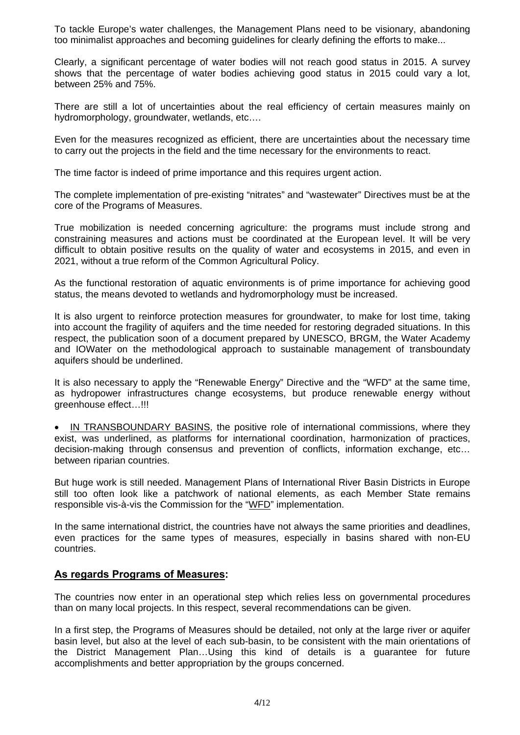To tackle Europe's water challenges, the Management Plans need to be visionary, abandoning too minimalist approaches and becoming guidelines for clearly defining the efforts to make...

Clearly, a significant percentage of water bodies will not reach good status in 2015. A survey shows that the percentage of water bodies achieving good status in 2015 could vary a lot, between 25% and 75%.

There are still a lot of uncertainties about the real efficiency of certain measures mainly on hydromorphology, groundwater, wetlands, etc….

Even for the measures recognized as efficient, there are uncertainties about the necessary time to carry out the projects in the field and the time necessary for the environments to react.

The time factor is indeed of prime importance and this requires urgent action.

The complete implementation of pre-existing "nitrates" and "wastewater" Directives must be at the core of the Programs of Measures.

True mobilization is needed concerning agriculture: the programs must include strong and constraining measures and actions must be coordinated at the European level. It will be very difficult to obtain positive results on the quality of water and ecosystems in 2015, and even in 2021, without a true reform of the Common Agricultural Policy.

As the functional restoration of aquatic environments is of prime importance for achieving good status, the means devoted to wetlands and hydromorphology must be increased.

It is also urgent to reinforce protection measures for groundwater, to make for lost time, taking into account the fragility of aquifers and the time needed for restoring degraded situations. In this respect, the publication soon of a document prepared by UNESCO, BRGM, the Water Academy and IOWater on the methodological approach to sustainable management of transboundaty aquifers should be underlined.

It is also necessary to apply the "Renewable Energy" Directive and the "WFD" at the same time, as hydropower infrastructures change ecosystems, but produce renewable energy without greenhouse effect…!!!

 IN TRANSBOUNDARY BASINS, the positive role of international commissions, where they exist, was underlined, as platforms for international coordination, harmonization of practices, decision-making through consensus and prevention of conflicts, information exchange, etc… between riparian countries.

But huge work is still needed. Management Plans of International River Basin Districts in Europe still too often look like a patchwork of national elements, as each Member State remains responsible vis-à-vis the Commission for the "WFD" implementation.

In the same international district, the countries have not always the same priorities and deadlines, even practices for the same types of measures, especially in basins shared with non-EU countries.

#### **As regards Programs of Measures:**

The countries now enter in an operational step which relies less on governmental procedures than on many local projects. In this respect, several recommendations can be given.

In a first step, the Programs of Measures should be detailed, not only at the large river or aquifer basin level, but also at the level of each sub-basin, to be consistent with the main orientations of the District Management Plan…Using this kind of details is a guarantee for future accomplishments and better appropriation by the groups concerned.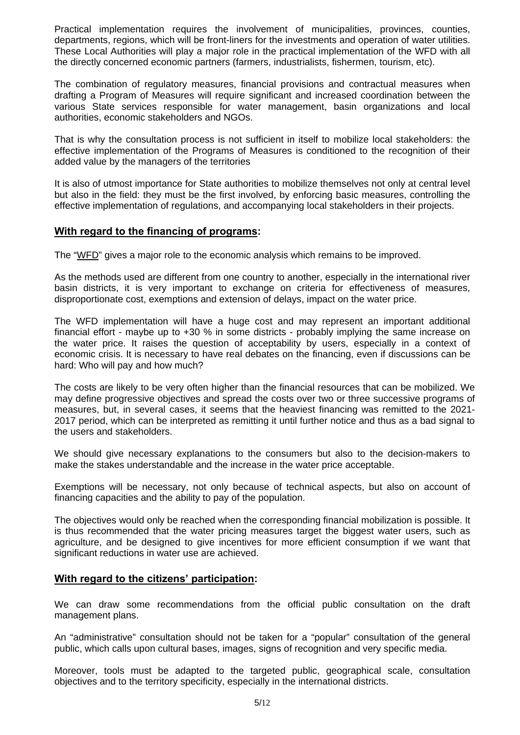Practical implementation requires the involvement of municipalities, provinces, counties, departments, regions, which will be front-liners for the investments and operation of water utilities. These Local Authorities will play a major role in the practical implementation of the WFD with all the directly concerned economic partners (farmers, industrialists, fishermen, tourism, etc).

The combination of regulatory measures, financial provisions and contractual measures when drafting a Program of Measures will require significant and increased coordination between the various State services responsible for water management, basin organizations and local authorities, economic stakeholders and NGOs.

That is why the consultation process is not sufficient in itself to mobilize local stakeholders: the effective implementation of the Programs of Measures is conditioned to the recognition of their added value by the managers of the territories

It is also of utmost importance for State authorities to mobilize themselves not only at central level but also in the field: they must be the first involved, by enforcing basic measures, controlling the effective implementation of regulations, and accompanying local stakeholders in their projects.

#### **With regard to the financing of programs:**

The "WFD" gives a major role to the economic analysis which remains to be improved.

As the methods used are different from one country to another, especially in the international river basin districts, it is very important to exchange on criteria for effectiveness of measures, disproportionate cost, exemptions and extension of delays, impact on the water price.

The WFD implementation will have a huge cost and may represent an important additional financial effort - maybe up to +30 % in some districts - probably implying the same increase on the water price. It raises the question of acceptability by users, especially in a context of economic crisis. It is necessary to have real debates on the financing, even if discussions can be hard: Who will pay and how much?

The costs are likely to be very often higher than the financial resources that can be mobilized. We may define progressive objectives and spread the costs over two or three successive programs of measures, but, in several cases, it seems that the heaviest financing was remitted to the 2021- 2017 period, which can be interpreted as remitting it until further notice and thus as a bad signal to the users and stakeholders.

We should give necessary explanations to the consumers but also to the decision-makers to make the stakes understandable and the increase in the water price acceptable.

Exemptions will be necessary, not only because of technical aspects, but also on account of financing capacities and the ability to pay of the population.

The objectives would only be reached when the corresponding financial mobilization is possible. It is thus recommended that the water pricing measures target the biggest water users, such as agriculture, and be designed to give incentives for more efficient consumption if we want that significant reductions in water use are achieved.

#### **With regard to the citizens' participation:**

We can draw some recommendations from the official public consultation on the draft management plans.

An "administrative" consultation should not be taken for a "popular" consultation of the general public, which calls upon cultural bases, images, signs of recognition and very specific media.

Moreover, tools must be adapted to the targeted public, geographical scale, consultation objectives and to the territory specificity, especially in the international districts.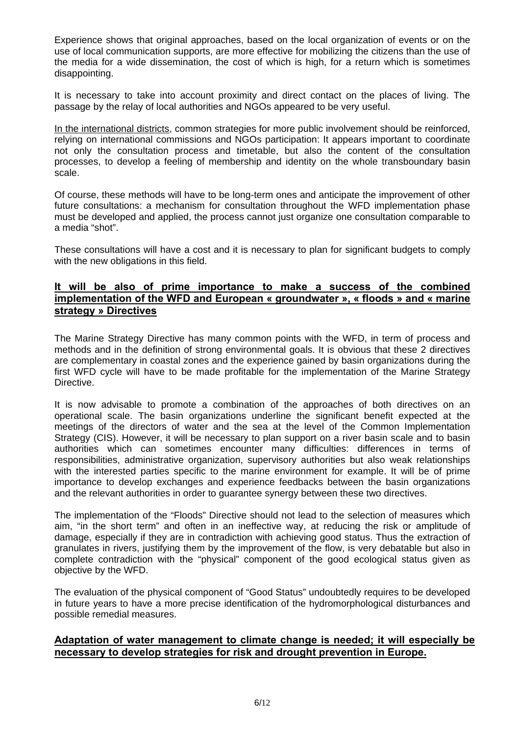Experience shows that original approaches, based on the local organization of events or on the use of local communication supports, are more effective for mobilizing the citizens than the use of the media for a wide dissemination, the cost of which is high, for a return which is sometimes disappointing.

It is necessary to take into account proximity and direct contact on the places of living. The passage by the relay of local authorities and NGOs appeared to be very useful.

In the international districts, common strategies for more public involvement should be reinforced, relying on international commissions and NGOs participation: It appears important to coordinate not only the consultation process and timetable, but also the content of the consultation processes, to develop a feeling of membership and identity on the whole transboundary basin scale.

Of course, these methods will have to be long-term ones and anticipate the improvement of other future consultations: a mechanism for consultation throughout the WFD implementation phase must be developed and applied, the process cannot just organize one consultation comparable to a media "shot".

These consultations will have a cost and it is necessary to plan for significant budgets to comply with the new obligations in this field.

### **It will be also of prime importance to make a success of the combined implementation of the WFD and European « groundwater », « floods » and « marine strategy » Directives**

The Marine Strategy Directive has many common points with the WFD, in term of process and methods and in the definition of strong environmental goals. It is obvious that these 2 directives are complementary in coastal zones and the experience gained by basin organizations during the first WFD cycle will have to be made profitable for the implementation of the Marine Strategy Directive.

It is now advisable to promote a combination of the approaches of both directives on an operational scale. The basin organizations underline the significant benefit expected at the meetings of the directors of water and the sea at the level of the Common Implementation Strategy (CIS). However, it will be necessary to plan support on a river basin scale and to basin authorities which can sometimes encounter many difficulties: differences in terms of responsibilities, administrative organization, supervisory authorities but also weak relationships with the interested parties specific to the marine environment for example. It will be of prime importance to develop exchanges and experience feedbacks between the basin organizations and the relevant authorities in order to guarantee synergy between these two directives.

The implementation of the "Floods" Directive should not lead to the selection of measures which aim, "in the short term" and often in an ineffective way, at reducing the risk or amplitude of damage, especially if they are in contradiction with achieving good status. Thus the extraction of granulates in rivers, justifying them by the improvement of the flow, is very debatable but also in complete contradiction with the "physical" component of the good ecological status given as objective by the WFD.

The evaluation of the physical component of "Good Status" undoubtedly requires to be developed in future years to have a more precise identification of the hydromorphological disturbances and possible remedial measures.

### **Adaptation of water management to climate change is needed; it will especially be necessary to develop strategies for risk and drought prevention in Europe.**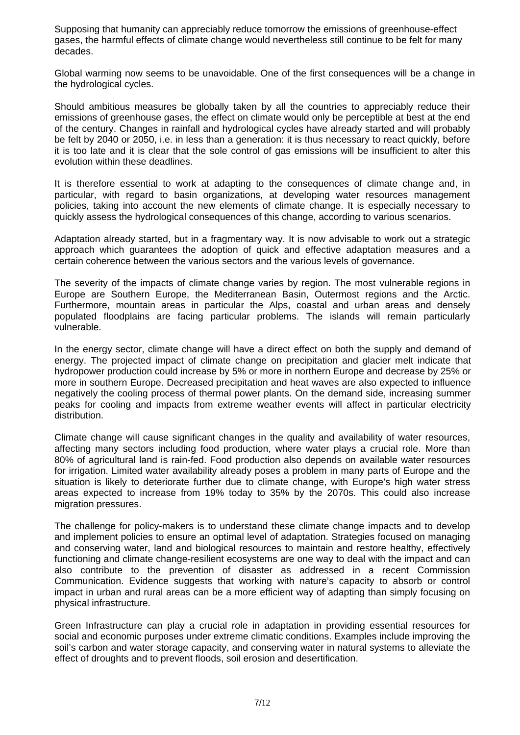Supposing that humanity can appreciably reduce tomorrow the emissions of greenhouse-effect gases, the harmful effects of climate change would nevertheless still continue to be felt for many decades.

Global warming now seems to be unavoidable. One of the first consequences will be a change in the hydrological cycles.

Should ambitious measures be globally taken by all the countries to appreciably reduce their emissions of greenhouse gases, the effect on climate would only be perceptible at best at the end of the century. Changes in rainfall and hydrological cycles have already started and will probably be felt by 2040 or 2050, i.e. in less than a generation: it is thus necessary to react quickly, before it is too late and it is clear that the sole control of gas emissions will be insufficient to alter this evolution within these deadlines.

It is therefore essential to work at adapting to the consequences of climate change and, in particular, with regard to basin organizations, at developing water resources management policies, taking into account the new elements of climate change. It is especially necessary to quickly assess the hydrological consequences of this change, according to various scenarios.

Adaptation already started, but in a fragmentary way. It is now advisable to work out a strategic approach which guarantees the adoption of quick and effective adaptation measures and a certain coherence between the various sectors and the various levels of governance.

The severity of the impacts of climate change varies by region. The most vulnerable regions in Europe are Southern Europe, the Mediterranean Basin, Outermost regions and the Arctic. Furthermore, mountain areas in particular the Alps, coastal and urban areas and densely populated floodplains are facing particular problems. The islands will remain particularly vulnerable.

In the energy sector, climate change will have a direct effect on both the supply and demand of energy. The projected impact of climate change on precipitation and glacier melt indicate that hydropower production could increase by 5% or more in northern Europe and decrease by 25% or more in southern Europe. Decreased precipitation and heat waves are also expected to influence negatively the cooling process of thermal power plants. On the demand side, increasing summer peaks for cooling and impacts from extreme weather events will affect in particular electricity distribution.

Climate change will cause significant changes in the quality and availability of water resources, affecting many sectors including food production, where water plays a crucial role. More than 80% of agricultural land is rain-fed. Food production also depends on available water resources for irrigation. Limited water availability already poses a problem in many parts of Europe and the situation is likely to deteriorate further due to climate change, with Europe's high water stress areas expected to increase from 19% today to 35% by the 2070s. This could also increase migration pressures.

The challenge for policy-makers is to understand these climate change impacts and to develop and implement policies to ensure an optimal level of adaptation. Strategies focused on managing and conserving water, land and biological resources to maintain and restore healthy, effectively functioning and climate change-resilient ecosystems are one way to deal with the impact and can also contribute to the prevention of disaster as addressed in a recent Commission Communication. Evidence suggests that working with nature's capacity to absorb or control impact in urban and rural areas can be a more efficient way of adapting than simply focusing on physical infrastructure.

Green Infrastructure can play a crucial role in adaptation in providing essential resources for social and economic purposes under extreme climatic conditions. Examples include improving the soil's carbon and water storage capacity, and conserving water in natural systems to alleviate the effect of droughts and to prevent floods, soil erosion and desertification.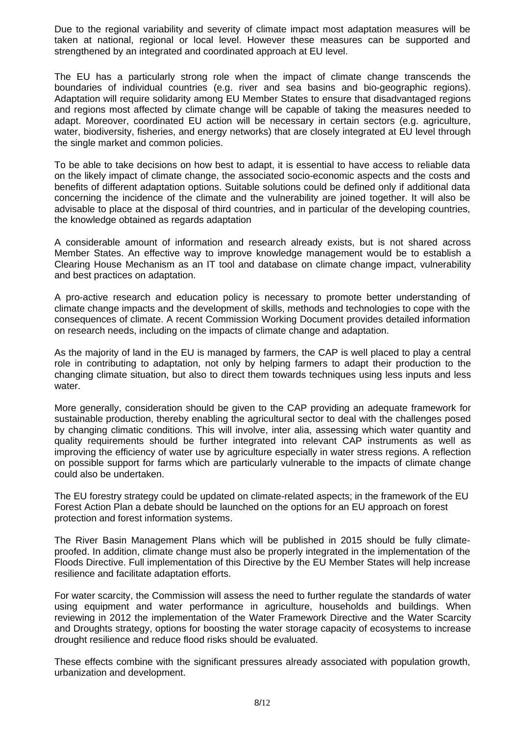Due to the regional variability and severity of climate impact most adaptation measures will be taken at national, regional or local level. However these measures can be supported and strengthened by an integrated and coordinated approach at EU level.

The EU has a particularly strong role when the impact of climate change transcends the boundaries of individual countries (e.g. river and sea basins and bio-geographic regions). Adaptation will require solidarity among EU Member States to ensure that disadvantaged regions and regions most affected by climate change will be capable of taking the measures needed to adapt. Moreover, coordinated EU action will be necessary in certain sectors (e.g. agriculture, water, biodiversity, fisheries, and energy networks) that are closely integrated at EU level through the single market and common policies.

To be able to take decisions on how best to adapt, it is essential to have access to reliable data on the likely impact of climate change, the associated socio-economic aspects and the costs and benefits of different adaptation options. Suitable solutions could be defined only if additional data concerning the incidence of the climate and the vulnerability are joined together. It will also be advisable to place at the disposal of third countries, and in particular of the developing countries, the knowledge obtained as regards adaptation

A considerable amount of information and research already exists, but is not shared across Member States. An effective way to improve knowledge management would be to establish a Clearing House Mechanism as an IT tool and database on climate change impact, vulnerability and best practices on adaptation.

A pro-active research and education policy is necessary to promote better understanding of climate change impacts and the development of skills, methods and technologies to cope with the consequences of climate. A recent Commission Working Document provides detailed information on research needs, including on the impacts of climate change and adaptation.

As the majority of land in the EU is managed by farmers, the CAP is well placed to play a central role in contributing to adaptation, not only by helping farmers to adapt their production to the changing climate situation, but also to direct them towards techniques using less inputs and less water.

More generally, consideration should be given to the CAP providing an adequate framework for sustainable production, thereby enabling the agricultural sector to deal with the challenges posed by changing climatic conditions. This will involve, inter alia, assessing which water quantity and quality requirements should be further integrated into relevant CAP instruments as well as improving the efficiency of water use by agriculture especially in water stress regions. A reflection on possible support for farms which are particularly vulnerable to the impacts of climate change could also be undertaken.

The EU forestry strategy could be updated on climate-related aspects; in the framework of the EU Forest Action Plan a debate should be launched on the options for an EU approach on forest protection and forest information systems.

The River Basin Management Plans which will be published in 2015 should be fully climateproofed. In addition, climate change must also be properly integrated in the implementation of the Floods Directive. Full implementation of this Directive by the EU Member States will help increase resilience and facilitate adaptation efforts.

For water scarcity, the Commission will assess the need to further regulate the standards of water using equipment and water performance in agriculture, households and buildings. When reviewing in 2012 the implementation of the Water Framework Directive and the Water Scarcity and Droughts strategy, options for boosting the water storage capacity of ecosystems to increase drought resilience and reduce flood risks should be evaluated.

These effects combine with the significant pressures already associated with population growth, urbanization and development.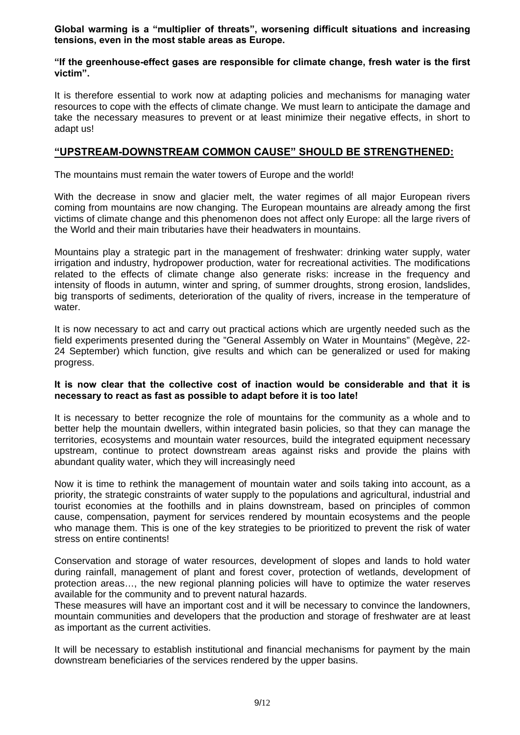**Global warming is a "multiplier of threats", worsening difficult situations and increasing tensions, even in the most stable areas as Europe.** 

#### **"If the greenhouse-effect gases are responsible for climate change, fresh water is the first victim".**

It is therefore essential to work now at adapting policies and mechanisms for managing water resources to cope with the effects of climate change. We must learn to anticipate the damage and take the necessary measures to prevent or at least minimize their negative effects, in short to adapt us!

#### **"UPSTREAM-DOWNSTREAM COMMON CAUSE" SHOULD BE STRENGTHENED:**

The mountains must remain the water towers of Europe and the world!

With the decrease in snow and glacier melt, the water regimes of all major European rivers coming from mountains are now changing. The European mountains are already among the first victims of climate change and this phenomenon does not affect only Europe: all the large rivers of the World and their main tributaries have their headwaters in mountains.

Mountains play a strategic part in the management of freshwater: drinking water supply, water irrigation and industry, hydropower production, water for recreational activities. The modifications related to the effects of climate change also generate risks: increase in the frequency and intensity of floods in autumn, winter and spring, of summer droughts, strong erosion, landslides, big transports of sediments, deterioration of the quality of rivers, increase in the temperature of water.

It is now necessary to act and carry out practical actions which are urgently needed such as the field experiments presented during the "General Assembly on Water in Mountains" (Megève, 22- 24 September) which function, give results and which can be generalized or used for making progress.

#### **It is now clear that the collective cost of inaction would be considerable and that it is necessary to react as fast as possible to adapt before it is too late!**

It is necessary to better recognize the role of mountains for the community as a whole and to better help the mountain dwellers, within integrated basin policies, so that they can manage the territories, ecosystems and mountain water resources, build the integrated equipment necessary upstream, continue to protect downstream areas against risks and provide the plains with abundant quality water, which they will increasingly need

Now it is time to rethink the management of mountain water and soils taking into account, as a priority, the strategic constraints of water supply to the populations and agricultural, industrial and tourist economies at the foothills and in plains downstream, based on principles of common cause, compensation, payment for services rendered by mountain ecosystems and the people who manage them. This is one of the key strategies to be prioritized to prevent the risk of water stress on entire continents!

Conservation and storage of water resources, development of slopes and lands to hold water during rainfall, management of plant and forest cover, protection of wetlands, development of protection areas…, the new regional planning policies will have to optimize the water reserves available for the community and to prevent natural hazards.

These measures will have an important cost and it will be necessary to convince the landowners, mountain communities and developers that the production and storage of freshwater are at least as important as the current activities.

It will be necessary to establish institutional and financial mechanisms for payment by the main downstream beneficiaries of the services rendered by the upper basins.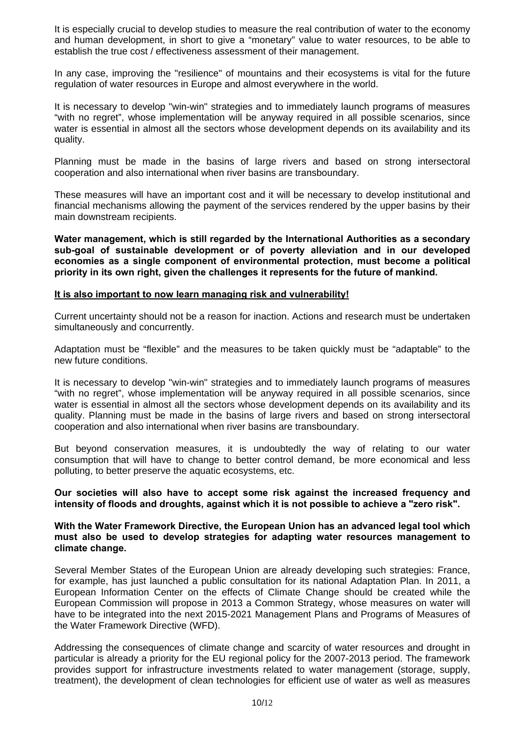It is especially crucial to develop studies to measure the real contribution of water to the economy and human development, in short to give a "monetary" value to water resources, to be able to establish the true cost / effectiveness assessment of their management.

In any case, improving the "resilience" of mountains and their ecosystems is vital for the future regulation of water resources in Europe and almost everywhere in the world.

It is necessary to develop "win-win" strategies and to immediately launch programs of measures "with no regret", whose implementation will be anyway required in all possible scenarios, since water is essential in almost all the sectors whose development depends on its availability and its quality.

Planning must be made in the basins of large rivers and based on strong intersectoral cooperation and also international when river basins are transboundary.

These measures will have an important cost and it will be necessary to develop institutional and financial mechanisms allowing the payment of the services rendered by the upper basins by their main downstream recipients.

**Water management, which is still regarded by the International Authorities as a secondary sub-goal of sustainable development or of poverty alleviation and in our developed economies as a single component of environmental protection, must become a political priority in its own right, given the challenges it represents for the future of mankind.** 

#### **It is also important to now learn managing risk and vulnerability!**

Current uncertainty should not be a reason for inaction. Actions and research must be undertaken simultaneously and concurrently.

Adaptation must be "flexible" and the measures to be taken quickly must be "adaptable" to the new future conditions.

It is necessary to develop "win-win" strategies and to immediately launch programs of measures "with no regret", whose implementation will be anyway required in all possible scenarios, since water is essential in almost all the sectors whose development depends on its availability and its quality. Planning must be made in the basins of large rivers and based on strong intersectoral cooperation and also international when river basins are transboundary.

But beyond conservation measures, it is undoubtedly the way of relating to our water consumption that will have to change to better control demand, be more economical and less polluting, to better preserve the aquatic ecosystems, etc.

**Our societies will also have to accept some risk against the increased frequency and intensity of floods and droughts, against which it is not possible to achieve a "zero risk".** 

**With the Water Framework Directive, the European Union has an advanced legal tool which must also be used to develop strategies for adapting water resources management to climate change.** 

Several Member States of the European Union are already developing such strategies: France, for example, has just launched a public consultation for its national Adaptation Plan. In 2011, a European Information Center on the effects of Climate Change should be created while the European Commission will propose in 2013 a Common Strategy, whose measures on water will have to be integrated into the next 2015-2021 Management Plans and Programs of Measures of the Water Framework Directive (WFD).

Addressing the consequences of climate change and scarcity of water resources and drought in particular is already a priority for the EU regional policy for the 2007-2013 period. The framework provides support for infrastructure investments related to water management (storage, supply, treatment), the development of clean technologies for efficient use of water as well as measures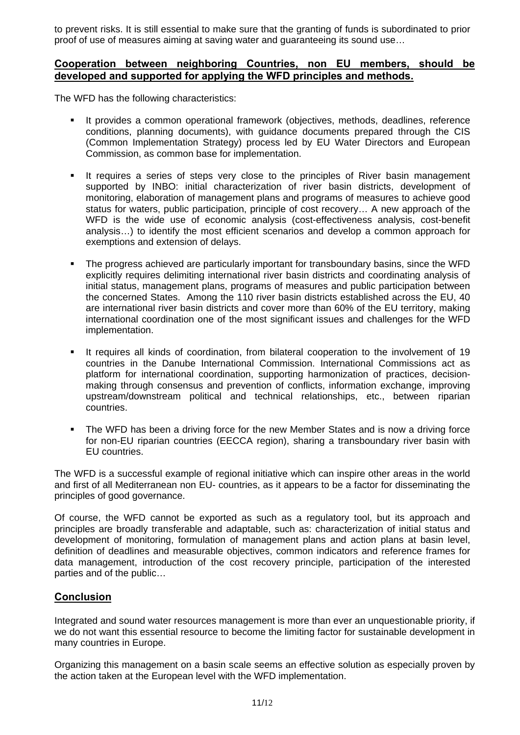to prevent risks. It is still essential to make sure that the granting of funds is subordinated to prior proof of use of measures aiming at saving water and guaranteeing its sound use…

#### **Cooperation between neighboring Countries, non EU members, should be developed and supported for applying the WFD principles and methods.**

The WFD has the following characteristics:

- It provides a common operational framework (objectives, methods, deadlines, reference conditions, planning documents), with guidance documents prepared through the CIS (Common Implementation Strategy) process led by EU Water Directors and European Commission, as common base for implementation.
- It requires a series of steps very close to the principles of River basin management supported by INBO: initial characterization of river basin districts, development of monitoring, elaboration of management plans and programs of measures to achieve good status for waters, public participation, principle of cost recovery… A new approach of the WFD is the wide use of economic analysis (cost-effectiveness analysis, cost-benefit analysis…) to identify the most efficient scenarios and develop a common approach for exemptions and extension of delays.
- The progress achieved are particularly important for transboundary basins, since the WFD explicitly requires delimiting international river basin districts and coordinating analysis of initial status, management plans, programs of measures and public participation between the concerned States. Among the 110 river basin districts established across the EU, 40 are international river basin districts and cover more than 60% of the EU territory, making international coordination one of the most significant issues and challenges for the WFD implementation.
- It requires all kinds of coordination, from bilateral cooperation to the involvement of 19 countries in the Danube International Commission. International Commissions act as platform for international coordination, supporting harmonization of practices, decisionmaking through consensus and prevention of conflicts, information exchange, improving upstream/downstream political and technical relationships, etc., between riparian countries.
- The WFD has been a driving force for the new Member States and is now a driving force for non-EU riparian countries (EECCA region), sharing a transboundary river basin with EU countries.

The WFD is a successful example of regional initiative which can inspire other areas in the world and first of all Mediterranean non EU- countries, as it appears to be a factor for disseminating the principles of good governance.

Of course, the WFD cannot be exported as such as a regulatory tool, but its approach and principles are broadly transferable and adaptable, such as: characterization of initial status and development of monitoring, formulation of management plans and action plans at basin level, definition of deadlines and measurable objectives, common indicators and reference frames for data management, introduction of the cost recovery principle, participation of the interested parties and of the public…

# **Conclusion**

Integrated and sound water resources management is more than ever an unquestionable priority, if we do not want this essential resource to become the limiting factor for sustainable development in many countries in Europe.

Organizing this management on a basin scale seems an effective solution as especially proven by the action taken at the European level with the WFD implementation.